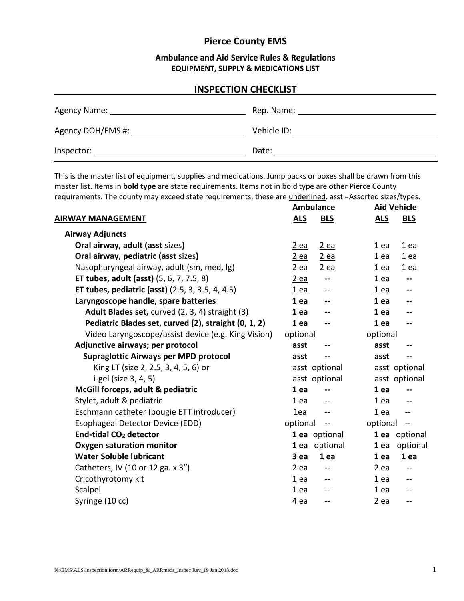# **Pierce County EMS**

### **Ambulance and Aid Service Rules & Regulations EQUIPMENT, SUPPLY & MEDICATIONS LIST**

### **INSPECTION CHECKLIST**

| Agency Name: ___  | Rep. Name:  |
|-------------------|-------------|
| Agency DOH/EMS #: | Vehicle ID: |
| Inspector:        | Date:       |

This is the master list of equipment, supplies and medications. Jump packs or boxes shall be drawn from this master list. Items in **bold type** are state requirements. Items not in bold type are other Pierce County requirements. The county may exceed state requirements, these are underlined. asst =Assorted sizes/types.

|                                                      | <b>Ambulance</b>                     | <b>Aid Vehicle</b>                   |  |
|------------------------------------------------------|--------------------------------------|--------------------------------------|--|
| <b>AIRWAY MANAGEMENT</b>                             | <b>ALS</b><br><b>BLS</b>             | <b>ALS</b><br><b>BLS</b>             |  |
| <b>Airway Adjuncts</b>                               |                                      |                                      |  |
| Oral airway, adult (asst sizes)                      | $2$ ea<br><u>2 ea</u>                | 1 ea<br>1 ea                         |  |
| Oral airway, pediatric (asst sizes)                  | 2 ea<br>$2$ ea                       | 1 ea<br>1 ea                         |  |
| Nasopharyngeal airway, adult (sm, med, lg)           | 2 ea<br>2 ea                         | 1 ea<br>1 ea                         |  |
| <b>ET tubes, adult (asst)</b> (5, 6, 7, 7.5, 8)      | <u>2 ea</u><br>$- -$                 | 1 ea                                 |  |
| ET tubes, pediatric (asst) (2.5, 3, 3.5, 4, 4.5)     | $1$ ea<br>$-$                        | $1$ ea<br>$\overline{\phantom{a}}$   |  |
| Laryngoscope handle, spare batteries                 | 1 ea<br>--                           | 1 ea<br>$\overline{\phantom{a}}$     |  |
| Adult Blades set, curved (2, 3, 4) straight (3)      | 1 ea<br>$-$                          | 1 ea                                 |  |
| Pediatric Blades set, curved (2), straight (0, 1, 2) | 1 ea<br>--                           | 1 ea                                 |  |
| Video Laryngoscope/assist device (e.g. King Vision)  | optional                             | optional                             |  |
| Adjunctive airways; per protocol                     | asst<br>--                           | asst                                 |  |
| Supraglottic Airways per MPD protocol                | asst<br>--                           | asst                                 |  |
| King LT (size 2, 2.5, 3, 4, 5, 6) or                 | asst optional                        | asst optional                        |  |
| i-gel (size 3, 4, 5)                                 | asst optional                        | asst optional                        |  |
| McGill forceps, adult & pediatric                    | 1 ea<br>--                           | 1 ea                                 |  |
| Stylet, adult & pediatric                            | 1 ea                                 | 1 ea                                 |  |
| Eschmann catheter (bougie ETT introducer)            | 1ea<br>$-$                           | 1 ea<br>--                           |  |
| Esophageal Detector Device (EDD)                     | optional<br>$\overline{\phantom{m}}$ | optional<br>$\overline{\phantom{m}}$ |  |
| End-tidal CO <sub>2</sub> detector                   | 1 ea optional                        | 1 ea optional                        |  |
| <b>Oxygen saturation monitor</b>                     | 1 ea optional                        | optional<br>1 ea                     |  |
| <b>Water Soluble lubricant</b>                       | 3 ea<br>1 ea                         | 1 ea<br>1 ea                         |  |
| Catheters, IV (10 or 12 ga. x 3")                    | $2$ ea<br>$-$                        | 2 ea<br>$-$                          |  |
| Cricothyrotomy kit                                   | 1 ea<br>$\overline{\phantom{a}}$     | 1 ea<br>$\mathbf{u}$                 |  |
| Scalpel                                              | 1 ea<br>--                           | 1 ea<br>$-$                          |  |
| Syringe (10 cc)                                      | 4 ea<br>$\overline{\phantom{a}}$     | 2 ea<br>$\sim$                       |  |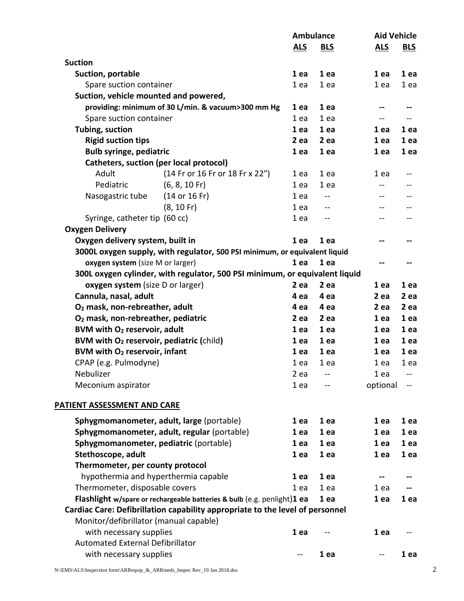|                                                      |                                                                               | <b>Ambulance</b> |            | <b>Aid Vehicle</b> |            |
|------------------------------------------------------|-------------------------------------------------------------------------------|------------------|------------|--------------------|------------|
|                                                      |                                                                               | <u>ALS</u>       | <b>BLS</b> | <b>ALS</b>         | <b>BLS</b> |
| <b>Suction</b>                                       |                                                                               |                  |            |                    |            |
| Suction, portable                                    |                                                                               | 1 ea             | 1 ea       | 1 ea               | 1 ea       |
| Spare suction container                              |                                                                               | 1 ea             | 1 ea       | 1 ea               | 1 ea       |
| Suction, vehicle mounted and powered,                |                                                                               |                  |            |                    |            |
|                                                      | providing: minimum of 30 L/min. & vacuum>300 mm Hg                            | 1 ea             | 1 ea       |                    |            |
| Spare suction container                              |                                                                               | 1 ea             | 1 ea       | --                 |            |
| Tubing, suction                                      |                                                                               | 1 ea             | 1 ea       | 1 ea               | 1 ea       |
| <b>Rigid suction tips</b>                            |                                                                               | $2$ ea           | 2 ea       | 1 ea               | 1 ea       |
| <b>Bulb syringe, pediatric</b>                       |                                                                               | 1 ea             | 1 ea       | 1 ea               | 1 ea       |
|                                                      | Catheters, suction (per local protocol)                                       |                  |            |                    |            |
| Adult                                                | (14 Fr or 16 Fr or 18 Fr x 22")                                               | 1 ea             | 1 ea       | 1 ea               |            |
| Pediatric                                            | $(6, 8, 10$ Fr)                                                               | 1 ea             | 1 ea       | --                 |            |
| Nasogastric tube                                     | $(14$ or $16$ Fr)                                                             | 1 ea             |            | --                 |            |
|                                                      | $(8, 10$ Fr)                                                                  | 1 ea             | --         | --                 |            |
| Syringe, catheter tip (60 cc)                        |                                                                               | 1 ea             | --         | --                 |            |
| <b>Oxygen Delivery</b>                               |                                                                               |                  |            |                    |            |
| Oxygen delivery system, built in                     |                                                                               | 1 ea             | 1 ea       |                    |            |
|                                                      | 3000L oxygen supply, with regulator, 500 PSI minimum, or equivalent liquid    |                  |            |                    |            |
| oxygen system (size M or larger)                     |                                                                               | 1 ea             | 1 ea       |                    |            |
|                                                      | 300L oxygen cylinder, with regulator, 500 PSI minimum, or equivalent liquid   |                  |            |                    |            |
| oxygen system (size D or larger)                     |                                                                               | 2 ea             | 2 ea       | 1 ea               | 1 ea       |
| Cannula, nasal, adult                                |                                                                               | 4 ea             | 4 ea       | 2 ea               | 2 ea       |
| O <sub>2</sub> mask, non-rebreather, adult           |                                                                               | 4 ea             | 4 ea       | 2 ea               | 2 ea       |
| O <sub>2</sub> mask, non-rebreather, pediatric       |                                                                               | 2 ea             | 2 ea       | 1 ea               | 1 ea       |
| BVM with O <sub>2</sub> reservoir, adult             |                                                                               | 1 ea             | 1 ea       | 1 ea               | 1 ea       |
| BVM with O <sub>2</sub> reservoir, pediatric (child) |                                                                               | 1 ea             | 1 ea       | 1 ea               | 1 ea       |
| BVM with O <sub>2</sub> reservoir, infant            |                                                                               | 1 ea             | 1 ea       | 1 ea               | 1 ea       |
| CPAP (e.g. Pulmodyne)                                |                                                                               | 1 ea             | 1 ea       | 1 ea               | 1 ea       |
| Nebulizer                                            |                                                                               | 2ea              |            | 1ea                |            |
| Meconium aspirator                                   |                                                                               | 1 ea             |            | optional           |            |
|                                                      |                                                                               |                  |            |                    |            |
| PATIENT ASSESSMENT AND CARE                          |                                                                               |                  |            |                    |            |
|                                                      | Sphygmomanometer, adult, large (portable)                                     | 1 ea             | 1 ea       | 1 ea               | 1 ea       |
|                                                      | Sphygmomanometer, adult, regular (portable)                                   | 1 ea             | 1 ea       | 1 ea               | 1 ea       |
| Sphygmomanometer, pediatric (portable)               |                                                                               | 1 ea             | 1 ea       | 1 ea               | 1 ea       |
| Stethoscope, adult                                   |                                                                               | 1 ea             | 1 ea       | 1 ea               | 1 ea       |
| Thermometer, per county protocol                     |                                                                               |                  |            |                    |            |
|                                                      | hypothermia and hyperthermia capable                                          | 1 ea             | 1 ea       |                    |            |
| Thermometer, disposable covers                       |                                                                               | 1 ea             | 1 ea       | 1 ea               |            |
|                                                      | Flashlight w/spare or rechargeable batteries & bulb (e.g. penlight)1 ea       |                  | 1 ea       | 1 ea               | 1 ea       |
|                                                      | Cardiac Care: Defibrillation capability appropriate to the level of personnel |                  |            |                    |            |
| Monitor/defibrillator (manual capable)               |                                                                               |                  |            |                    |            |
| with necessary supplies                              |                                                                               | 1 ea             |            | 1 ea               |            |
| <b>Automated External Defibrillator</b>              |                                                                               |                  |            |                    |            |
| with necessary supplies                              |                                                                               | $\mathbf{u}$     | 1 ea       | --                 | 1 ea       |
|                                                      |                                                                               |                  |            |                    |            |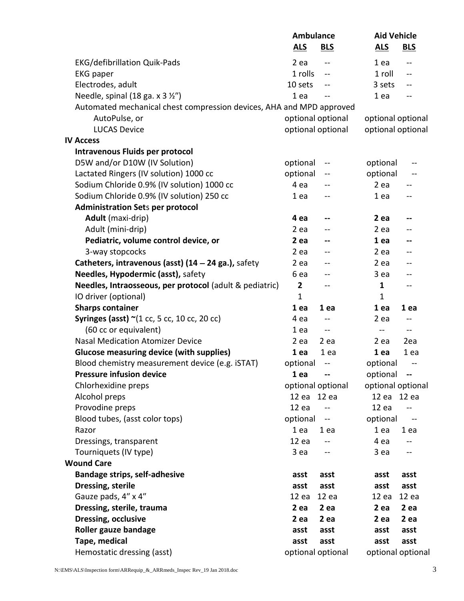|                                                                      | <b>Ambulance</b>                     | <b>Aid Vehicle</b>                              |  |  |
|----------------------------------------------------------------------|--------------------------------------|-------------------------------------------------|--|--|
|                                                                      | <b>ALS</b><br><b>BLS</b>             | <b>ALS</b><br><b>BLS</b>                        |  |  |
| <b>EKG/defibrillation Quik-Pads</b>                                  | 2 ea<br>$\frac{1}{2}$                | 1 ea<br>$\overline{a}$                          |  |  |
| <b>EKG</b> paper                                                     | 1 rolls<br>--                        | 1 roll<br>$-$                                   |  |  |
| Electrodes, adult                                                    | 10 sets                              | 3 sets<br>$\sim$ $\sim$                         |  |  |
| Needle, spinal (18 ga. x 3 1/2")                                     | 1 ea<br>$-$                          | 1 ea<br>$\overline{\phantom{a}}$                |  |  |
| Automated mechanical chest compression devices, AHA and MPD approved |                                      |                                                 |  |  |
| AutoPulse, or                                                        | optional optional                    | optional optional                               |  |  |
| <b>LUCAS Device</b>                                                  | optional optional                    | optional optional                               |  |  |
| <b>IV Access</b>                                                     |                                      |                                                 |  |  |
| <b>Intravenous Fluids per protocol</b>                               |                                      |                                                 |  |  |
| D5W and/or D10W (IV Solution)                                        | optional                             | optional<br>--                                  |  |  |
| Lactated Ringers (IV solution) 1000 cc                               | optional                             | optional                                        |  |  |
| Sodium Chloride 0.9% (IV solution) 1000 cc                           | 4 ea                                 | $2$ ea<br>--                                    |  |  |
| Sodium Chloride 0.9% (IV solution) 250 cc                            | 1 ea<br>$- -$                        | 1 ea<br>$\overline{\phantom{a}}$                |  |  |
| <b>Administration Sets per protocol</b>                              |                                      |                                                 |  |  |
| Adult (maxi-drip)                                                    | 4 ea<br>--                           | $2$ ea<br>--                                    |  |  |
| Adult (mini-drip)                                                    | $2$ ea                               | $2$ ea<br>--                                    |  |  |
| Pediatric, volume control device, or                                 | 2 ea<br>--                           | 1 ea<br>--                                      |  |  |
| 3-way stopcocks                                                      | $2$ ea                               | 2 ea<br>--                                      |  |  |
| Catheters, intravenous (asst) $(14 - 24$ ga.), safety                | 2 ea                                 | 2 ea<br>--                                      |  |  |
| Needles, Hypodermic (asst), safety                                   | 6 ea                                 | 3 ea<br>--                                      |  |  |
| Needles, Intraosseous, per protocol (adult & pediatric)              | $\mathbf{2}$                         | $\mathbf{1}$<br>--                              |  |  |
| IO driver (optional)                                                 | $\mathbf{1}$                         | $\mathbf{1}$                                    |  |  |
| <b>Sharps container</b>                                              | 1 ea<br>1 ea                         | 1 ea<br>1 ea                                    |  |  |
| Syringes (asst) $\sim$ (1 cc, 5 cc, 10 cc, 20 cc)                    | 4 ea<br>$\overline{\phantom{m}}$     | $2$ ea<br>$--$                                  |  |  |
| (60 cc or equivalent)                                                | 1 ea<br>$\rightarrow$                | $\sim$<br>$\overline{a}$                        |  |  |
| <b>Nasal Medication Atomizer Device</b>                              | $2$ ea<br>2 ea                       | 2ea<br>2 ea                                     |  |  |
| <b>Glucose measuring device (with supplies)</b>                      | 1 ea<br>1 ea                         | 1ea<br>1 ea                                     |  |  |
| Blood chemistry measurement device (e.g. iSTAT)                      | optional<br>$\overline{\phantom{m}}$ | optional<br>$\qquad \qquad -$                   |  |  |
| <b>Pressure infusion device</b>                                      | 1 ea                                 | optional<br>$\overline{\phantom{a}}$            |  |  |
| Chlorhexidine preps                                                  | optional optional                    | optional optional                               |  |  |
| Alcohol preps                                                        | 12 ea 12 ea                          | 12 ea 12 ea                                     |  |  |
| Provodine preps                                                      | 12ea                                 | 12ea                                            |  |  |
| Blood tubes, (asst color tops)                                       | optional<br>$\rightarrow$            | optional<br>$\hspace{0.05cm}$ $\hspace{0.05cm}$ |  |  |
| Razor                                                                | 1 ea<br>1 ea                         | 1 ea<br>1 ea                                    |  |  |
| Dressings, transparent                                               | 12ea<br>$-$                          | 4 ea<br>--                                      |  |  |
| Tourniquets (IV type)                                                | 3 ea                                 | 3 ea<br>--                                      |  |  |
| <b>Wound Care</b>                                                    |                                      |                                                 |  |  |
| <b>Bandage strips, self-adhesive</b>                                 | asst<br>asst                         | asst<br>asst                                    |  |  |
| Dressing, sterile                                                    | asst<br>asst                         | asst<br>asst                                    |  |  |
| Gauze pads, 4" x 4"                                                  | 12ea<br>12ea                         | 12 ea<br>12ea                                   |  |  |
| Dressing, sterile, trauma                                            | 2 ea<br>2 ea                         | 2 ea<br>2 ea                                    |  |  |
| Dressing, occlusive                                                  | 2 ea<br>2 ea                         | 2 ea<br>2 ea                                    |  |  |
| Roller gauze bandage                                                 | asst<br>asst                         | asst<br>asst                                    |  |  |
| Tape, medical                                                        | asst<br>asst                         | asst<br>asst                                    |  |  |
| Hemostatic dressing (asst)                                           | optional optional                    | optional optional                               |  |  |
|                                                                      |                                      |                                                 |  |  |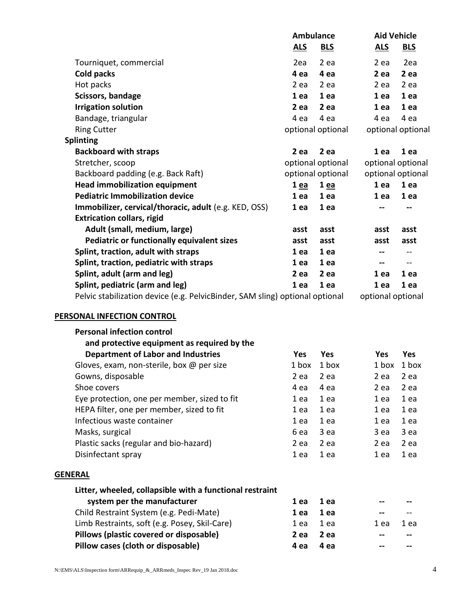|                                                                              | <b>Ambulance</b>  |                   | <b>Aid Vehicle</b>           |                   |
|------------------------------------------------------------------------------|-------------------|-------------------|------------------------------|-------------------|
|                                                                              | <u>ALS</u>        | <u>BLS</u>        | <u>ALS</u>                   | <b>BLS</b>        |
| Tourniquet, commercial                                                       | 2ea               | 2 ea              | 2 ea                         | 2ea               |
| Cold packs                                                                   | 4 ea              | 4 ea              | 2 ea                         | 2 ea              |
| Hot packs                                                                    | 2 ea              | 2 ea              | 2 ea                         | 2 ea              |
| Scissors, bandage                                                            | 1 ea              | 1 ea              | 1 ea                         | 1 ea              |
| <b>Irrigation solution</b>                                                   | 2 ea              | 2 ea              | 1 ea                         | 1 ea              |
| Bandage, triangular                                                          | 4 ea              | 4 ea              | 4 ea                         | 4 ea              |
| <b>Ring Cutter</b>                                                           | optional optional |                   |                              | optional optional |
| <b>Splinting</b>                                                             |                   |                   |                              |                   |
| <b>Backboard with straps</b>                                                 | 2 ea              | 2 ea              | 1 ea                         | 1 ea              |
| Stretcher, scoop                                                             |                   | optional optional |                              | optional optional |
| Backboard padding (e.g. Back Raft)                                           | optional optional |                   | optional optional            |                   |
| <b>Head immobilization equipment</b>                                         | 1 ea              | 1 ea              | 1 ea                         | 1 ea              |
| <b>Pediatric Immobilization device</b>                                       | 1 ea              | 1 ea              | 1 ea                         | 1 ea              |
| Immobilizer, cervical/thoracic, adult (e.g. KED, OSS)                        | 1 ea              | 1 ea              |                              | --                |
| <b>Extrication collars, rigid</b>                                            |                   |                   |                              |                   |
| Adult (small, medium, large)                                                 | asst              | asst              | asst                         | asst              |
| <b>Pediatric or functionally equivalent sizes</b>                            | asst              | asst              | asst                         | asst              |
| Splint, traction, adult with straps                                          | 1 ea              | 1 ea              |                              |                   |
| Splint, traction, pediatric with straps                                      | 1 ea              | 1 ea              | $\qquad \qquad \blacksquare$ | $\sim$            |
| Splint, adult (arm and leg)                                                  | 2 ea              | 2 ea              | 1 ea                         | 1 ea              |
| Splint, pediatric (arm and leg)                                              | 1 ea              | 1 ea              | 1 ea                         | 1 ea              |
| Pelvic stabilization device (e.g. PelvicBinder, SAM sling) optional optional |                   |                   | optional optional            |                   |

## **PERSONAL INFECTION CONTROL**

| <b>Personal infection control</b>                        |            |            |            |            |
|----------------------------------------------------------|------------|------------|------------|------------|
| and protective equipment as required by the              |            |            |            |            |
| <b>Department of Labor and Industries</b>                | <b>Yes</b> | <b>Yes</b> | <b>Yes</b> | <b>Yes</b> |
| Gloves, exam, non-sterile, box $@$ per size              | 1 box      | 1 box      | 1 box      | 1 box      |
| Gowns, disposable                                        | 2 ea       | 2 ea       | 2 ea       | 2 ea       |
| Shoe covers                                              | 4 ea       | 4 ea       | 2 ea       | 2 ea       |
| Eye protection, one per member, sized to fit             | 1 ea       | 1 ea       | 1 ea       | 1 ea       |
| HEPA filter, one per member, sized to fit                | 1 ea       | 1 ea       | 1 ea       | 1 ea       |
| Infectious waste container                               | 1 ea       | 1 ea       | 1 ea       | 1 ea       |
| Masks, surgical                                          | 6 ea       | 3 ea       | 3 ea       | 3 ea       |
| Plastic sacks (regular and bio-hazard)                   | 2 ea       | 2 ea       | 2 ea       | 2 ea       |
| Disinfectant spray                                       | 1 ea       | 1 ea       | 1 ea       | 1 ea       |
| <b>GENERAL</b>                                           |            |            |            |            |
| Litter, wheeled, collapsible with a functional restraint |            |            |            |            |
| system per the manufacturer                              | 1 ea       | 1 ea       |            |            |
| Child Restraint System (e.g. Pedi-Mate)                  | 1 ea       | 1 ea       |            |            |
| Limb Restraints, soft (e.g. Posey, Skil-Care)            | 1 ea       | 1 ea       | 1 ea       | 1 ea       |
| Pillows (plastic covered or disposable)                  | 2 ea       | 2 ea       |            |            |
| Pillow cases (cloth or disposable)                       | 4 ea       | 4 ea       |            |            |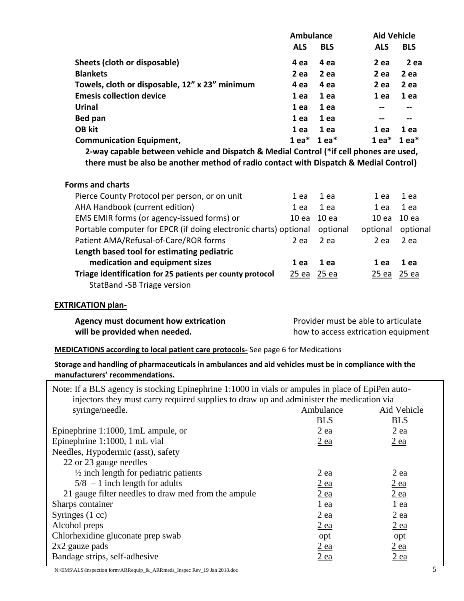|                                                                                                                                          | <b>Ambulance</b>   |                  | <b>Aid Vehicle</b>                  |                       |
|------------------------------------------------------------------------------------------------------------------------------------------|--------------------|------------------|-------------------------------------|-----------------------|
|                                                                                                                                          | <b>ALS</b>         | <b>BLS</b>       | <u>ALS</u>                          | <b>BLS</b>            |
| Sheets (cloth or disposable)                                                                                                             | 4 ea               | 4 ea             | 2 ea                                | 2 ea                  |
| <b>Blankets</b>                                                                                                                          | $2$ ea             | 2 ea             | 2 ea                                | 2 ea                  |
| Towels, cloth or disposable, 12" x 23" minimum                                                                                           | 4 ea               | 4 ea             | $2$ ea                              | 2 ea                  |
| <b>Emesis collection device</b>                                                                                                          | 1 ea               | 1 ea             | 1 ea                                | 1 ea                  |
| <b>Urinal</b>                                                                                                                            | 1 ea               | 1 ea             | --                                  | $- -$                 |
| Bed pan                                                                                                                                  | 1ea                | 1 ea             | --                                  | --                    |
| <b>OB kit</b>                                                                                                                            | 1 ea               | 1 ea             | 1 ea                                | 1 ea                  |
| <b>Communication Equipment,</b>                                                                                                          |                    | $1$ ea* $1$ ea*  |                                     | $1$ ea* $1$ ea*       |
| 2-way capable between vehicle and Dispatch & Medial Control (*if cell phones are used,                                                   |                    |                  |                                     |                       |
| there must be also be another method of radio contact with Dispatch & Medial Control)                                                    |                    |                  |                                     |                       |
|                                                                                                                                          |                    |                  |                                     |                       |
| <b>Forms and charts</b>                                                                                                                  |                    |                  |                                     |                       |
| Pierce County Protocol per person, or on unit                                                                                            | 1 ea               | 1 ea             | 1 ea                                | 1 ea                  |
| AHA Handbook (current edition)                                                                                                           | 1 ea               | 1 ea             | 1 ea                                | 1 ea                  |
| EMS EMIR forms (or agency-issued forms) or                                                                                               | 10 <sub>ea</sub>   | 10 ea            |                                     | 10 ea 10 ea           |
| Portable computer for EPCR (if doing electronic charts) optional                                                                         |                    | optional         |                                     | optional optional     |
| Patient AMA/Refusal-of-Care/ROR forms                                                                                                    | 2 ea               | $2$ ea           | 2 ea                                | $2$ ea                |
| Length based tool for estimating pediatric                                                                                               |                    |                  |                                     |                       |
| medication and equipment sizes                                                                                                           | 1 ea               | 1 ea             | 1 ea                                | 1 ea                  |
| Triage identification for 25 patients per county protocol                                                                                | <u>25 ea 25 ea</u> |                  |                                     | <u>25 ea 25 ea</u>    |
| StatBand -SB Triage version                                                                                                              |                    |                  |                                     |                       |
| <b>EXTRICATION plan-</b>                                                                                                                 |                    |                  |                                     |                       |
| Agency must document how extrication                                                                                                     |                    |                  | Provider must be able to articulate |                       |
| will be provided when needed.                                                                                                            |                    |                  | how to access extrication equipment |                       |
|                                                                                                                                          |                    |                  |                                     |                       |
| <b>MEDICATIONS according to local patient care protocols-</b> See page 6 for Medications                                                 |                    |                  |                                     |                       |
| Storage and handling of pharmaceuticals in ambulances and aid vehicles must be in compliance with the<br>manufacturers' recommendations. |                    |                  |                                     |                       |
| Note: If a BLS agency is stocking Epinephrine 1:1000 in vials or ampules in place of EpiPen auto-                                        |                    |                  |                                     |                       |
| injectors they must carry required supplies to draw up and administer the medication via                                                 |                    |                  |                                     |                       |
| syringe/needle.                                                                                                                          |                    | Ambulance        |                                     | Aid Vehicle           |
|                                                                                                                                          |                    | <b>BLS</b>       |                                     | <b>BLS</b>            |
| Epinephrine 1:1000, 1mL ampule, or                                                                                                       |                    | $2$ ea           |                                     | $2$ ea                |
| Epinephrine 1:1000, 1 mL vial                                                                                                            |                    | <u>2 ea</u>      |                                     | <u>2 ea</u>           |
| Needles, Hypodermic (asst), safety                                                                                                       |                    |                  |                                     |                       |
| 22 or 23 gauge needles<br>$\frac{1}{2}$ inch length for pediatric patients                                                               |                    |                  |                                     |                       |
| $5/8$ - 1 inch length for adults                                                                                                         |                    | $2$ ea<br>$2$ ea |                                     | $2$ ea<br><u>2 ea</u> |
|                                                                                                                                          |                    |                  |                                     |                       |

21 gauge filter needles to draw med from the ampule  $2$  ea  $2$  ea  $2$  ea Sharps container 1 ea 1 ea Syringes (1 cc)  $\frac{2 \text{ ea}}{2 \text{ ea}}$   $\frac{2 \text{ ea}}{2 \text{ ea}}$ Alcohol preps 2 ea 2 ea Chlorhexidine gluconate prep swab opt opt opt opt opt opt of  $\overline{opt}$  $2 \times 2$  gauze pads  $2 \text{ ea}$   $2 \text{ ea}$ Bandage strips, self-adhesive 2 ea 2 ea

N:\EMS\ALS\Inspection form\ARRequip\_&\_ARRmeds\_Inspec Rev\_19 Jan 2018.doc 5